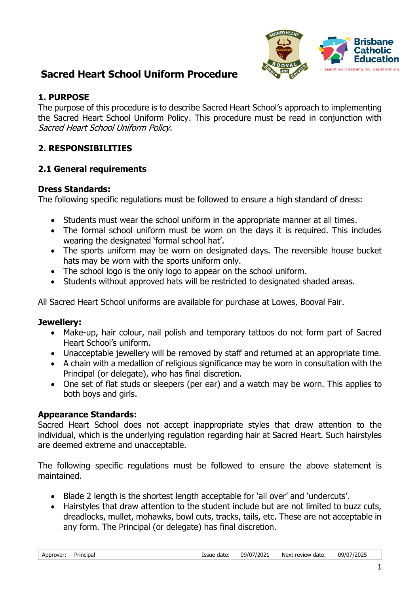

#### **1. PURPOSE**

The purpose of this procedure is to describe Sacred Heart School's approach to implementing the Sacred Heart School Uniform Policy. This procedure must be read in conjunction with Sacred Heart School Uniform Policy.

### **2. RESPONSIBILITIES**

### **2.1 General requirements**

#### **Dress Standards:**

The following specific regulations must be followed to ensure a high standard of dress:

- Students must wear the school uniform in the appropriate manner at all times.
- The formal school uniform must be worn on the days it is required. This includes wearing the designated 'formal school hat'.
- The sports uniform may be worn on designated days. The reversible house bucket hats may be worn with the sports uniform only.
- The school logo is the only logo to appear on the school uniform.
- Students without approved hats will be restricted to designated shaded areas.

All Sacred Heart School uniforms are available for purchase at Lowes, Booval Fair.

#### **Jewellery:**

- Make-up, hair colour, nail polish and temporary tattoos do not form part of Sacred Heart School's uniform.
- Unacceptable jewellery will be removed by staff and returned at an appropriate time.
- A chain with a medallion of religious significance may be worn in consultation with the Principal (or delegate), who has final discretion.
- One set of flat studs or sleepers (per ear) and a watch may be worn. This applies to both boys and girls.

### **Appearance Standards:**

Sacred Heart School does not accept inappropriate styles that draw attention to the individual, which is the underlying regulation regarding hair at Sacred Heart. Such hairstyles are deemed extreme and unacceptable.

The following specific regulations must be followed to ensure the above statement is maintained.

- Blade 2 length is the shortest length acceptable for 'all over' and 'undercuts'.
- Hairstyles that draw attention to the student include but are not limited to buzz cuts, dreadlocks, mullet, mohawks, bowl cuts, tracks, tails, etc. These are not acceptable in any form. The Principal (or delegate) has final discretion.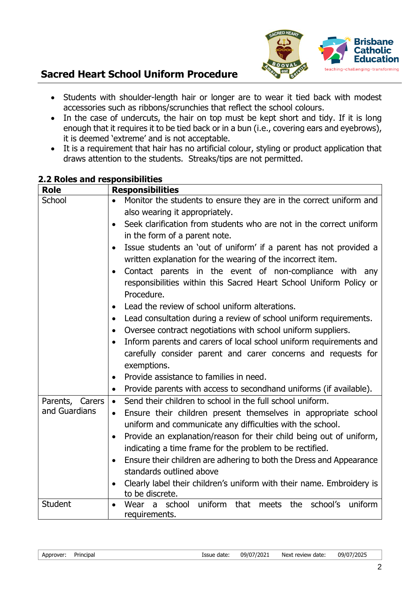

- Students with shoulder-length hair or longer are to wear it tied back with modest accessories such as ribbons/scrunchies that reflect the school colours.
- In the case of undercuts, the hair on top must be kept short and tidy. If it is long enough that it requires it to be tied back or in a bun (i.e., covering ears and eyebrows), it is deemed 'extreme' and is not acceptable.
- It is a requirement that hair has no artificial colour, styling or product application that draws attention to the students. Streaks/tips are not permitted.

| <b>Role</b>     | <b>Responsibilities</b>                                                                                                                                  |  |
|-----------------|----------------------------------------------------------------------------------------------------------------------------------------------------------|--|
| School          | Monitor the students to ensure they are in the correct uniform and<br>$\bullet$                                                                          |  |
|                 | also wearing it appropriately.                                                                                                                           |  |
|                 | Seek clarification from students who are not in the correct uniform<br>$\bullet$                                                                         |  |
|                 | in the form of a parent note.                                                                                                                            |  |
|                 | Issue students an 'out of uniform' if a parent has not provided a<br>$\bullet$<br>written explanation for the wearing of the incorrect item.             |  |
|                 | Contact parents in the event of non-compliance with any<br>$\bullet$<br>responsibilities within this Sacred Heart School Uniform Policy or<br>Procedure. |  |
|                 | Lead the review of school uniform alterations.<br>$\bullet$                                                                                              |  |
|                 | Lead consultation during a review of school uniform requirements.<br>$\bullet$                                                                           |  |
|                 | Oversee contract negotiations with school uniform suppliers.<br>$\bullet$                                                                                |  |
|                 | Inform parents and carers of local school uniform requirements and<br>$\bullet$                                                                          |  |
|                 | carefully consider parent and carer concerns and requests for                                                                                            |  |
|                 | exemptions.                                                                                                                                              |  |
|                 | Provide assistance to families in need.<br>$\bullet$                                                                                                     |  |
|                 | Provide parents with access to secondhand uniforms (if available).<br>$\bullet$                                                                          |  |
| Parents, Carers | Send their children to school in the full school uniform.<br>$\bullet$                                                                                   |  |
| and Guardians   | Ensure their children present themselves in appropriate school<br>$\bullet$                                                                              |  |
|                 | uniform and communicate any difficulties with the school.                                                                                                |  |
|                 | Provide an explanation/reason for their child being out of uniform,<br>$\bullet$                                                                         |  |
|                 | indicating a time frame for the problem to be rectified.                                                                                                 |  |
|                 | Ensure their children are adhering to both the Dress and Appearance<br>$\bullet$                                                                         |  |
|                 | standards outlined above                                                                                                                                 |  |
|                 | Clearly label their children's uniform with their name. Embroidery is<br>$\bullet$                                                                       |  |
|                 | to be discrete.                                                                                                                                          |  |
| <b>Student</b>  | uniform<br>that meets the school's<br>school<br>uniform<br>Wear<br>- a                                                                                   |  |
|                 | requirements.                                                                                                                                            |  |

### **2.2 Roles and responsibilities**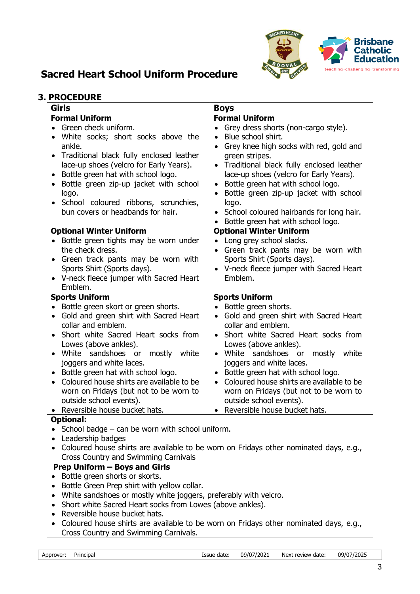

### **3. PROCEDURE**

| <b>Girls</b>                                                                                                                                                                                                                                                                                                                                                                                                                                                                         | <b>Boys</b>                                                                                                                                                                                                                                                                                                                                                                                                                                                           |  |
|--------------------------------------------------------------------------------------------------------------------------------------------------------------------------------------------------------------------------------------------------------------------------------------------------------------------------------------------------------------------------------------------------------------------------------------------------------------------------------------|-----------------------------------------------------------------------------------------------------------------------------------------------------------------------------------------------------------------------------------------------------------------------------------------------------------------------------------------------------------------------------------------------------------------------------------------------------------------------|--|
| <b>Formal Uniform</b>                                                                                                                                                                                                                                                                                                                                                                                                                                                                | <b>Formal Uniform</b>                                                                                                                                                                                                                                                                                                                                                                                                                                                 |  |
| Green check uniform.<br>White socks; short socks above the<br>ankle.<br>• Traditional black fully enclosed leather<br>lace-up shoes (velcro for Early Years).<br>Bottle green hat with school logo.<br>Bottle green zip-up jacket with school<br>$\bullet$<br>logo.<br>School coloured ribbons, scrunchies,<br>bun covers or headbands for hair.<br><b>Optional Winter Uniform</b>                                                                                                   | Grey dress shorts (non-cargo style).<br>Blue school shirt.<br>$\bullet$<br>Grey knee high socks with red, gold and<br>$\bullet$<br>green stripes.<br>Traditional black fully enclosed leather<br>lace-up shoes (velcro for Early Years).<br>Bottle green hat with school logo.<br>$\bullet$<br>Bottle green zip-up jacket with school<br>logo.<br>School coloured hairbands for long hair.<br>Bottle green hat with school logo.<br><b>Optional Winter Uniform</b>    |  |
| • Bottle green tights may be worn under<br>the check dress.<br>Green track pants may be worn with<br>Sports Shirt (Sports days).<br>V-neck fleece jumper with Sacred Heart<br>Emblem.                                                                                                                                                                                                                                                                                                | Long grey school slacks.<br>Green track pants may be worn with<br>Sports Shirt (Sports days).<br>V-neck fleece jumper with Sacred Heart<br>Emblem.                                                                                                                                                                                                                                                                                                                    |  |
| <b>Sports Uniform</b><br>Bottle green skort or green shorts.<br>$\bullet$<br>Gold and green shirt with Sacred Heart<br>$\bullet$<br>collar and emblem.<br>Short white Sacred Heart socks from<br>Lowes (above ankles).<br>White sandshoes or<br>mostly<br>white<br>joggers and white laces.<br>Bottle green hat with school logo.<br>Coloured house shirts are available to be<br>worn on Fridays (but not to be worn to<br>outside school events).<br>Reversible house bucket hats. | <b>Sports Uniform</b><br>Bottle green shorts.<br>$\bullet$<br>Gold and green shirt with Sacred Heart<br>collar and emblem.<br>Short white Sacred Heart socks from<br>Lowes (above ankles).<br>White sandshoes or<br>mostly<br>white<br>$\bullet$<br>joggers and white laces.<br>Bottle green hat with school logo.<br>Coloured house shirts are available to be<br>worn on Fridays (but not to be worn to<br>outside school events).<br>Reversible house bucket hats. |  |
| <b>Optional:</b><br>School badge $-$ can be worn with school uniform.<br>Leadership badges<br>$\bullet$<br>Coloured house shirts are available to be worn on Fridays other nominated days, e.g.,<br>Cross Country and Swimming Carnivals                                                                                                                                                                                                                                             |                                                                                                                                                                                                                                                                                                                                                                                                                                                                       |  |
| <b>Prep Uniform - Boys and Girls</b><br>Bottle green shorts or skorts.<br>Bottle Green Prep shirt with yellow collar.<br>White sandshoes or mostly white joggers, preferably with velcro.<br>Short white Sacred Heart socks from Lowes (above ankles).<br>Reversible house bucket hats.<br>Coloured house shirts are available to be worn on Fridays other nominated days, e.g.,<br>$\bullet$<br>Cross Country and Swimming Carnivals.                                               |                                                                                                                                                                                                                                                                                                                                                                                                                                                                       |  |

3